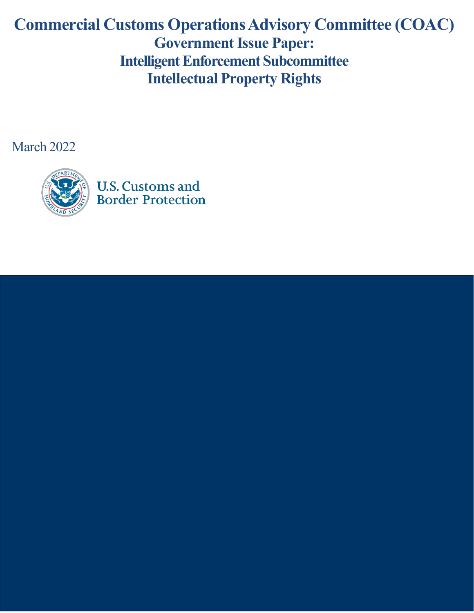# **Commercial Customs OperationsAdvisory Committee (COAC) Government Issue Paper: Intelligent Enforcement Subcommittee Intellectual Property Rights**

March 2022

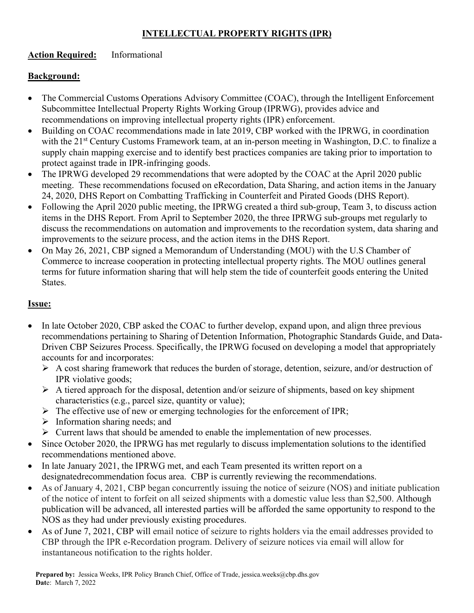## **INTELLECTUAL PROPERTY RIGHTS (IPR)**

### **Action Required:** Informational

### **Background:**

- The Commercial Customs Operations Advisory Committee (COAC), through the Intelligent Enforcement Subcommittee Intellectual Property Rights Working Group (IPRWG), provides advice and recommendations on improving intellectual property rights (IPR) enforcement.
- Building on COAC recommendations made in late 2019, CBP worked with the IPRWG, in coordination with the 21<sup>st</sup> Century Customs Framework team, at an in-person meeting in Washington, D.C. to finalize a supply chain mapping exercise and to identify best practices companies are taking prior to importation to protect against trade in IPR-infringing goods.
- The IPRWG developed 29 recommendations that were adopted by the COAC at the April 2020 public meeting. These recommendations focused on eRecordation, Data Sharing, and action items in the January 24, 2020, DHS Report on Combatting Trafficking in Counterfeit and Pirated Goods (DHS Report).
- Following the April 2020 public meeting, the IPRWG created a third sub-group, Team 3, to discuss action items in the DHS Report. From April to September 2020, the three IPRWG sub-groups met regularly to discuss the recommendations on automation and improvements to the recordation system, data sharing and improvements to the seizure process, and the action items in the DHS Report.
- On May 26, 2021, CBP signed a Memorandum of Understanding (MOU) with the U.S Chamber of Commerce to increase cooperation in protecting intellectual property rights. The MOU outlines general terms for future information sharing that will help stem the tide of counterfeit goods entering the United States.

#### **Issue:**

- In late October 2020, CBP asked the COAC to further develop, expand upon, and align three previous recommendations pertaining to Sharing of Detention Information, Photographic Standards Guide, and Data-Driven CBP Seizures Process. Specifically, the IPRWG focused on developing a model that appropriately accounts for and incorporates:
	- $\triangleright$  A cost sharing framework that reduces the burden of storage, detention, seizure, and/or destruction of IPR violative goods;
	- $\triangleright$  A tiered approach for the disposal, detention and/or seizure of shipments, based on key shipment characteristics (e.g., parcel size, quantity or value);
	- $\triangleright$  The effective use of new or emerging technologies for the enforcement of IPR;
	- $\triangleright$  Information sharing needs; and
	- $\triangleright$  Current laws that should be amended to enable the implementation of new processes.
- Since October 2020, the IPRWG has met regularly to discuss implementation solutions to the identified recommendations mentioned above.
- In late January 2021, the IPRWG met, and each Team presented its written report on a designated recommendation focus area. CBP is currently reviewing the recommendations.
- As of January 4, 2021, CBP began concurrently issuing the notice of seizure (NOS) and initiate publication of the notice of intent to forfeit on all seized shipments with a domestic value less than \$2,500. Although publication will be advanced, all interested parties will be afforded the same opportunity to respond to the NOS as they had under previously existing procedures.
- As of June 7, 2021, CBP will email notice of seizure to rights holders via the email addresses provided to CBP through the IPR e-Recordation program. Delivery of seizure notices via email will allow for instantaneous notification to the rights holder.